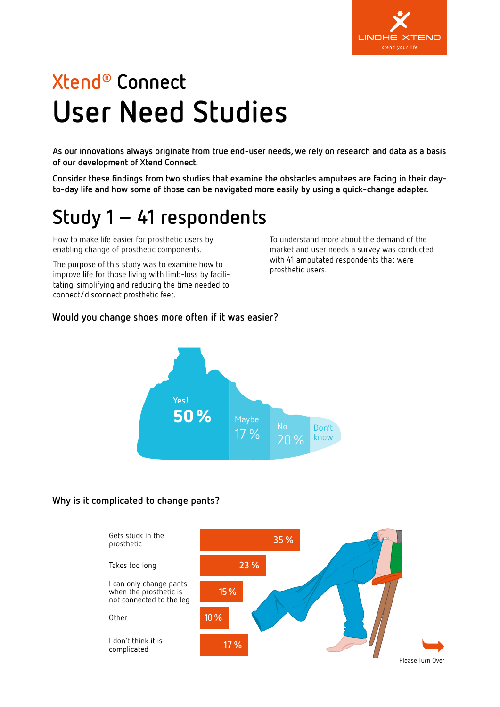

# **Xtend® Connect User Need Studies**

**As our innovations always originate from true end-user needs, we rely on research and data as a basis of our development of Xtend Connect.**

**Consider these findings from two studies that examine the obstacles amputees are facing in their dayto-day life and how some of those can be navigated more easily by using a quick-change adapter.**

## **Study 1 – 41 respondents**

How to make life easier for prosthetic users by enabling change of prosthetic components.

The purpose of this study was to examine how to improve life for those living with limb-loss by facilitating, simplifying and reducing the time needed to connect/disconnect prosthetic feet.

To understand more about the demand of the market and user needs a survey was conducted with 41 amputated respondents that were prosthetic users.

#### **Would you change shoes more often if it was easier?**



### **Why is it complicated to change pants?** Why is it complicated to change pants?